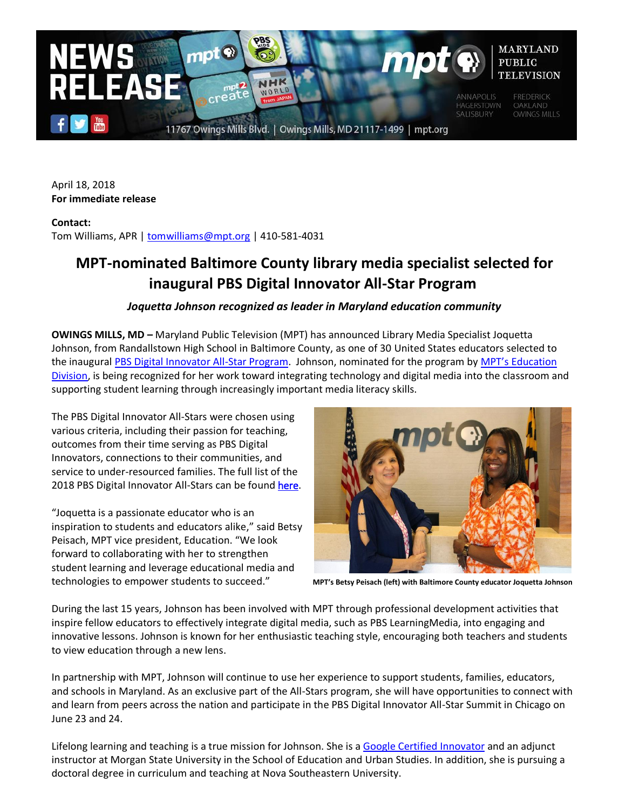

April 18, 2018 **For immediate release**

**Contact:**  Tom Williams, APR | [tomwilliams@mpt.org](mailto:tomwilliams@mpt.org) | 410-581-4031

## **MPT-nominated Baltimore County library media specialist selected for inaugural PBS Digital Innovator All-Star Program**

## *Joquetta Johnson recognized as leader in Maryland education community*

**OWINGS MILLS, MD –** Maryland Public Television (MPT) has announced Library Media Specialist Joquetta Johnson, from Randallstown High School in Baltimore County, as one of 30 United States educators selected to the inaugural [PBS Digital Innovator All-Star Program.](http://www.pbs.org/education/digitalinnovators) Johnson, nominated for the program by MPT's Education [Division,](http://www.mpt.org/education/) is being recognized for her work toward integrating technology and digital media into the classroom and supporting student learning through increasingly important media literacy skills.

The PBS Digital Innovator All-Stars were chosen using various criteria, including their passion for teaching, outcomes from their time serving as PBS Digital Innovators, connections to their communities, and service to under-resourced families. The full list of the 2018 PBS Digital Innovator All-Stars can be found [here](http://www.pbs.org/education/digitalinnovators).

"Joquetta is a passionate educator who is an inspiration to students and educators alike," said Betsy Peisach, MPT vice president, Education. "We look forward to collaborating with her to strengthen student learning and leverage educational media and technologies to empower students to succeed." **MPT's Betsy Peisach (left) with Baltimore County educator Joquetta Johnson**



During the last 15 years, Johnson has been involved with MPT through professional development activities that inspire fellow educators to effectively integrate digital media, such as PBS LearningMedia, into engaging and innovative lessons. Johnson is known for her enthusiastic teaching style, encouraging both teachers and students to view education through a new lens.

In partnership with MPT, Johnson will continue to use her experience to support students, families, educators, and schools in Maryland. As an exclusive part of the All-Stars program, she will have opportunities to connect with and learn from peers across the nation and participate in the PBS Digital Innovator All-Star Summit in Chicago on June 23 and 24.

Lifelong learning and teaching is a true mission for Johnson. She is a [Google Certified](https://edutrainingcenter.withgoogle.com/certification_innovator) Innovator and an adjunct instructor at Morgan State University in the School of Education and Urban Studies. In addition, she is pursuing a doctoral degree in curriculum and teaching at Nova Southeastern University.